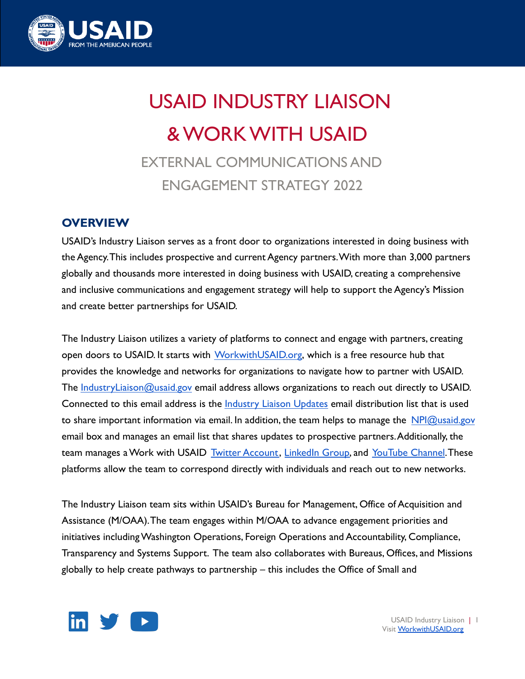

# USAID INDUSTRY LIAISON & WORK WITH USAID EXTERNAL COMMUNICATIONS AND

ENGAGEMENT STRATEGY 2022

## **OVERVIEW**

USAID's Industry Liaison serves as a front door to organizations interested in doing business with the Agency.This includes prospective and current Agency partners.With more than 3,000 partners globally and thousands more interested in doing business with USAID, creating a comprehensive and inclusive communications and engagement strategy will help to support the Agency's Mission and create better partnerships for USAID.

The Industry Liaison utilizes a variety of platforms to connect and engage with partners, creating open doors to USAID. It starts with [WorkwithUSAID.org](http://workwithusaid.org), which is a free resource hub that provides the knowledge and networks for organizations to navigate how to partner with USAID. The [IndustryLiaison@usaid.gov](mailto:IndustryLiaison@usaid.gov) email address allows organizations to reach out directly to USAID. Connected to this email address is the *[Industry Liaison](https://workwithusaid.us7.list-manage.com/subscribe?u=5436029da268e9a9cd7a41a21&id=8f90e497fe) Updates email distribution list that is used* to share important information via email. In addition, the team helps to manage the  $NPI@u said.gov$ email box and manages an email list that shares updates to prospective partners.Additionally, the team manages a Work with USAID [Twitter Account,](http://twitter.com/workwithusaid) [LinkedIn](https://www.linkedin.com/groups/12491152/) Group, and [YouTube Channel](https://www.youtube.com/channel/UCp7HI8mDjnS2U1oWc7_sXeg). These platforms allow the team to correspond directly with individuals and reach out to new networks.

The Industry Liaison team sits within USAID's Bureau for Management, Office of Acquisition and Assistance (M/OAA).The team engages within M/OAA to advance engagement priorities and initiatives including Washington Operations, Foreign Operations and Accountability, Compliance, Transparency and Systems Support. The team also collaborates with Bureaus, Offices, and Missions globally to help create pathways to partnership – this includes the Office of Small and



USAID Industry Liaison | 1 Visit [WorkwithUSAID.org](http://workwithusaid.org)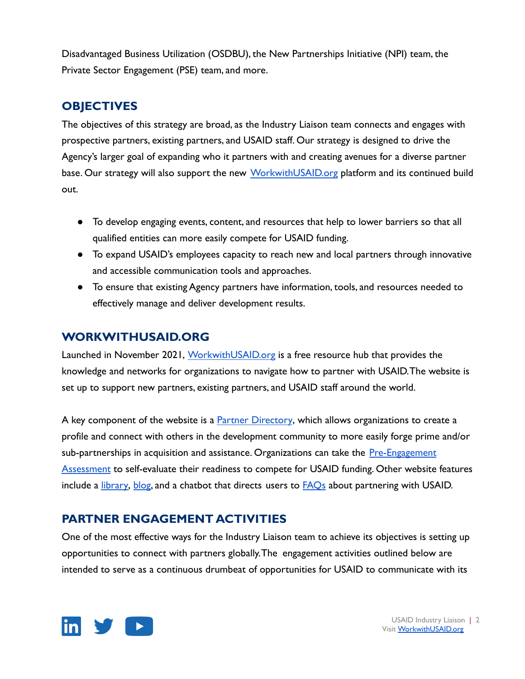Disadvantaged Business Utilization (OSDBU), the New Partnerships Initiative (NPI) team, the Private Sector Engagement (PSE) team, and more.

## **OBJECTIVES**

The objectives of this strategy are broad, as the Industry Liaison team connects and engages with prospective partners, existing partners, and USAID staff. Our strategy is designed to drive the Agency's larger goal of expanding who it partners with and creating avenues for a diverse partner base. Our strategy will also support the new [WorkwithUSAID.org](https://workwithusaid.org/) platform and its continued build out.

- To develop engaging events, content, and resources that help to lower barriers so that all qualified entities can more easily compete for USAID funding.
- To expand USAID's employees capacity to reach new and local partners through innovative and accessible communication tools and approaches.
- To ensure that existing Agency partners have information, tools, and resources needed to effectively manage and deliver development results.

## **WORKWITHUSAID.ORG**

Launched in November 2021, [WorkwithUSAID.org](https://workwithusaid.org/) is a free resource hub that provides the knowledge and networks for organizations to navigate how to partner with USAID.The website is set up to support new partners, existing partners, and USAID staff around the world.

A key component of the website is a [Partner Directory](https://register.workwithusaid.org/), which allows organizations to create a profile and connect with others in the development community to more easily forge prime and/or sub-partnerships in acquisition and assistance. Organizations can take the [Pre-Engagement](https://www.workwithusaid.org/pre-engagement) [Assessment](https://www.workwithusaid.org/pre-engagement) to self-evaluate their readiness to compete for USAID funding. Other website features include a *library*, [blog](https://www.workwithusaid.org/blog), and a chatbot that directs users to **[FAQs](https://www.workwithusaid.org/faq)** about partnering with USAID.

## **PARTNER ENGAGEMENT ACTIVITIES**

One of the most effective ways for the Industry Liaison team to achieve its objectives is setting up opportunities to connect with partners globally.The engagement activities outlined below are intended to serve as a continuous drumbeat of opportunities for USAID to communicate with its

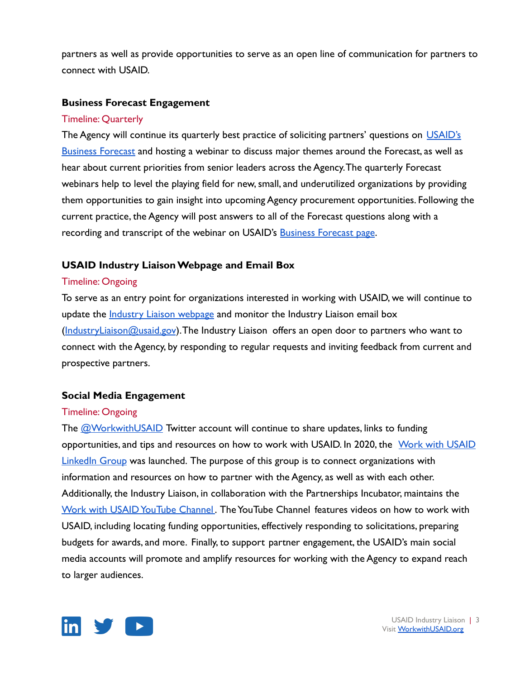partners as well as provide opportunities to serve as an open line of communication for partners to connect with USAID.

#### **Business Forecast Engagement**

### Timeline: Quarterly

The Agency will continue its quarterly best practice of soliciting partners' questions on [USAID's](https://www.usaid.gov/business-forecast/search) [Business Forecast](https://www.usaid.gov/business-forecast/search) and hosting a webinar to discuss major themes around the Forecast, as well as hear about current priorities from senior leaders across the Agency.The quarterly Forecast webinars help to level the playing field for new, small, and underutilized organizations by providing them opportunities to gain insight into upcoming Agency procurement opportunities. Following the current practice, the Agency will post answers to all of the Forecast questions along with a recording and transcript of the webinar on USAID's **[Business Forecast page](https://www.usaid.gov/business-forecast)**.

## **USAID Industry Liaison Webpage and Email Box**

### Timeline: Ongoing

To serve as an entry point for organizations interested in working with USAID, we will continue to update the *[Industry Liaison webpage](https://www.usaid.gov/work-usaid/how-to-work-with-usaid/usaid-industry-liaison)* and monitor the Industry Liaison email box ([IndustryLiaison@usaid.gov](mailto:IndustryLiaison@usaid.gov)). The Industry Liaison offers an open door to partners who want to connect with the Agency, by responding to regular requests and inviting feedback from current and prospective partners.

## **Social Media Engagement**

#### Timeline: Ongoing

The **[@WorkwithUSAID](https://twitter.com/WorkwithUSAID)** Twitter account will continue to share updates, links to funding opportunities, and tips and resources on how to work with USAID. In 2020, the [Work with USAID](https://www.linkedin.com/groups/12491152/) [LinkedIn Group](https://www.linkedin.com/groups/12491152/) was launched. The purpose of this group is to connect organizations with information and resources on how to partner with the Agency, as well as with each other. Additionally, the Industry Liaison, in collaboration with the Partnerships Incubator, maintains the [Work with USAID YouTube Channel](https://www.youtube.com/c/WorkwithUSAID) . The YouTube Channel features videos on how to work with USAID, including locating funding opportunities, effectively responding to solicitations, preparing budgets for awards, and more. Finally, to support partner engagement, the USAID's main social media accounts will promote and amplify resources for working with the Agency to expand reach to larger audiences.

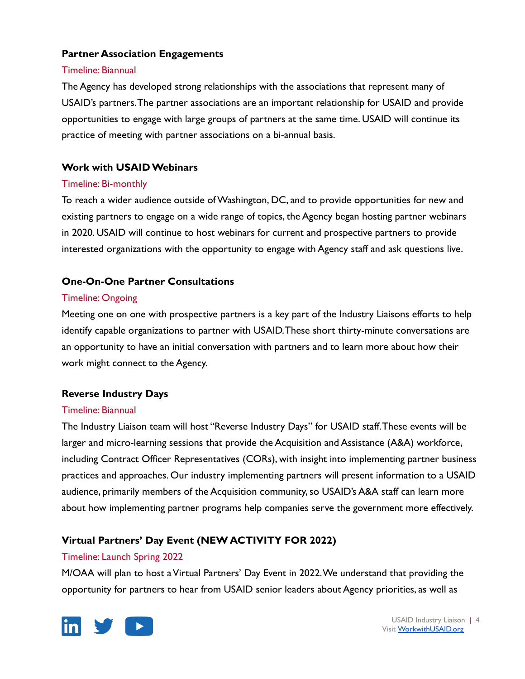## **Partner Association Engagements**

#### Timeline: Biannual

The Agency has developed strong relationships with the associations that represent many of USAID's partners.The partner associations are an important relationship for USAID and provide opportunities to engage with large groups of partners at the same time. USAID will continue its practice of meeting with partner associations on a bi-annual basis.

## **Work with USAID Webinars**

#### Timeline: Bi-monthly

To reach a wider audience outside of Washington, DC, and to provide opportunities for new and existing partners to engage on a wide range of topics, the Agency began hosting partner webinars in 2020. USAID will continue to host webinars for current and prospective partners to provide interested organizations with the opportunity to engage with Agency staff and ask questions live.

## **One-On-One Partner Consultations**

#### Timeline: Ongoing

Meeting one on one with prospective partners is a key part of the Industry Liaisons efforts to help identify capable organizations to partner with USAID.These short thirty-minute conversations are an opportunity to have an initial conversation with partners and to learn more about how their work might connect to the Agency.

## **Reverse Industry Days**

#### Timeline: Biannual

The Industry Liaison team will host "Reverse Industry Days" for USAID staff.These events will be larger and micro-learning sessions that provide the Acquisition and Assistance (A&A) workforce, including Contract Officer Representatives (CORs), with insight into implementing partner business practices and approaches. Our industry implementing partners will present information to a USAID audience, primarily members of the Acquisition community, so USAID's A&A staff can learn more about how implementing partner programs help companies serve the government more effectively.

## **Virtual Partners' Day Event (NEW ACTIVITY FOR 2022)**

## Timeline: Launch Spring 2022

M/OAA will plan to host a Virtual Partners' Day Event in 2022.We understand that providing the opportunity for partners to hear from USAID senior leaders about Agency priorities, as well as



USAID Industry Liaison | 4 Visit [WorkwithUSAID.org](http://workwithusaid.org)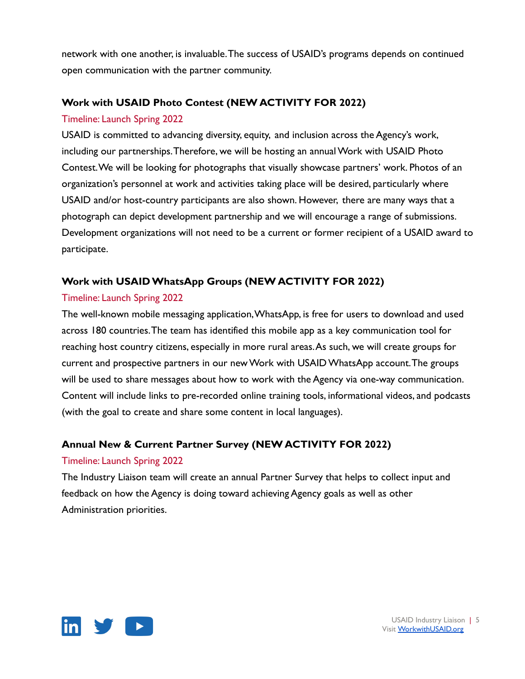network with one another, is invaluable.The success of USAID's programs depends on continued open communication with the partner community.

## **Work with USAID Photo Contest (NEW ACTIVITY FOR 2022)**

## Timeline: Launch Spring 2022

USAID is committed to advancing diversity, equity, and inclusion across the Agency's work, including our partnerships.Therefore, we will be hosting an annual Work with USAID Photo Contest.We will be looking for photographs that visually showcase partners' work. Photos of an organization's personnel at work and activities taking place will be desired, particularly where USAID and/or host-country participants are also shown. However, there are many ways that a photograph can depict development partnership and we will encourage a range of submissions. Development organizations will not need to be a current or former recipient of a USAID award to participate.

## **Work with USAID WhatsApp Groups (NEW ACTIVITY FOR 2022)**

## Timeline: Launch Spring 2022

The well-known mobile messaging application,WhatsApp, is free for users to download and used across 180 countries.The team has identified this mobile app as a key communication tool for reaching host country citizens, especially in more rural areas.As such, we will create groups for current and prospective partners in our new Work with USAID WhatsApp account.The groups will be used to share messages about how to work with the Agency via one-way communication. Content will include links to pre-recorded online training tools, informational videos, and podcasts (with the goal to create and share some content in local languages).

## **Annual New & Current Partner Survey (NEW ACTIVITY FOR 2022)**

## Timeline: Launch Spring 2022

The Industry Liaison team will create an annual Partner Survey that helps to collect input and feedback on how the Agency is doing toward achieving Agency goals as well as other Administration priorities.

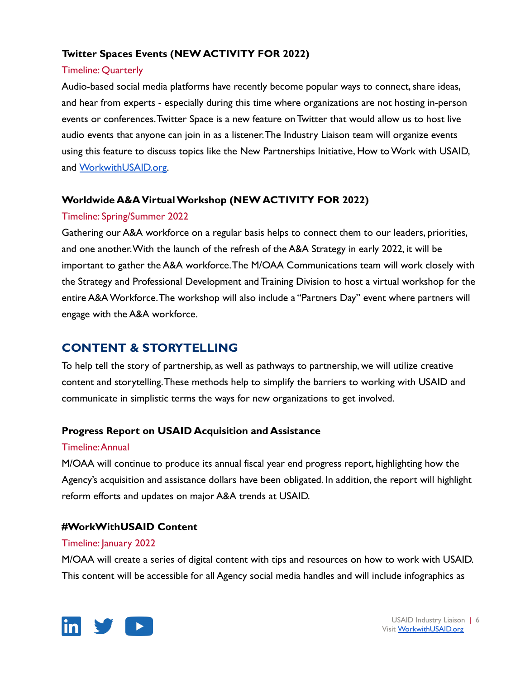## **Twitter Spaces Events (NEW ACTIVITY FOR 2022)**

## Timeline: Quarterly

Audio-based social media platforms have recently become popular ways to connect, share ideas, and hear from experts - especially during this time where organizations are not hosting in-person events or conferences.Twitter Space is a new feature on Twitter that would allow us to host live audio events that anyone can join in as a listener.The Industry Liaison team will organize events using this feature to discuss topics like the New Partnerships Initiative, How to Work with USAID, and [WorkwithUSAID.org.](https://www.workwithusaid.org/)

### **Worldwide A&A Virtual Workshop (NEW ACTIVITY FOR 2022)**

### Timeline: Spring/Summer 2022

Gathering our A&A workforce on a regular basis helps to connect them to our leaders, priorities, and one another.With the launch of the refresh of the A&A Strategy in early 2022, it will be important to gather the A&A workforce.The M/OAA Communications team will work closely with the Strategy and Professional Development and Training Division to host a virtual workshop for the entire A&A Workforce.The workshop will also include a "Partners Day" event where partners will engage with the A&A workforce.

## **CONTENT & STORYTELLING**

To help tell the story of partnership, as well as pathways to partnership, we will utilize creative content and storytelling.These methods help to simplify the barriers to working with USAID and communicate in simplistic terms the ways for new organizations to get involved.

## **Progress Report on USAID Acquisition and Assistance**

#### Timeline:Annual

M/OAA will continue to produce its annual fiscal year end progress report, highlighting how the Agency's acquisition and assistance dollars have been obligated. In addition, the report will highlight reform efforts and updates on major A&A trends at USAID.

## **#WorkWithUSAID Content**

#### Timeline: January 2022

M/OAA will create a series of digital content with tips and resources on how to work with USAID. This content will be accessible for all Agency social media handles and will include infographics as



USAID Industry Liaison | 6 Visit [WorkwithUSAID.org](http://workwithusaid.org)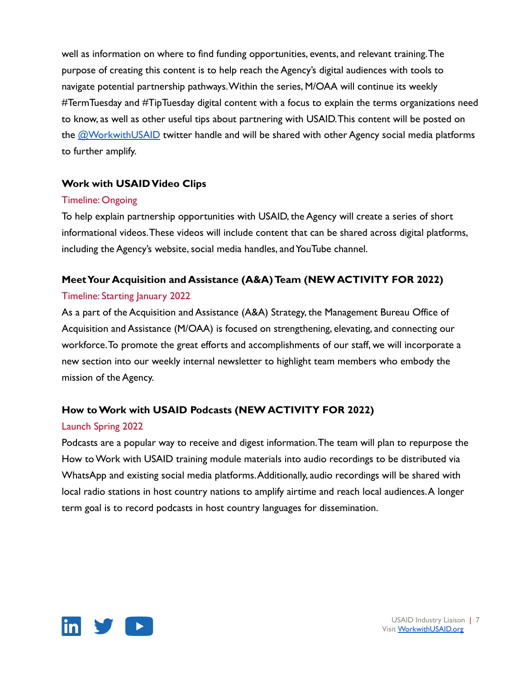well as information on where to find funding opportunities, events, and relevant training.The purpose of creating this content is to help reach the Agency's digital audiences with tools to navigate potential partnership pathways.Within the series, M/OAA will continue its weekly #TermTuesday and #TipTuesday digital content with a focus to explain the terms organizations need to know, as well as other useful tips about partnering with USAID.This content will be posted on the **[@WorkwithUSAID](https://twitter.com/WorkwithUSAID)** twitter handle and will be shared with other Agency social media platforms to further amplify.

## **Work with USAID Video Clips**

### Timeline: Ongoing

To help explain partnership opportunities with USAID, the Agency will create a series of short informational videos.These videos will include content that can be shared across digital platforms, including the Agency's website, social media handles, and YouTube channel.

## **Meet Your Acquisition and Assistance (A&A) Team (NEW ACTIVITY FOR 2022)**

## Timeline: Starting January 2022

As a part of the Acquisition and Assistance (A&A) Strategy, the Management Bureau Office of Acquisition and Assistance (M/OAA) is focused on strengthening, elevating, and connecting our workforce.To promote the great efforts and accomplishments of our staff, we will incorporate a new section into our weekly internal newsletter to highlight team members who embody the mission of the Agency.

## **How to Work with USAID Podcasts (NEW ACTIVITY FOR 2022)**

## Launch Spring 2022

Podcasts are a popular way to receive and digest information.The team will plan to repurpose the How to Work with USAID training module materials into audio recordings to be distributed via WhatsApp and existing social media platforms.Additionally, audio recordings will be shared with local radio stations in host country nations to amplify airtime and reach local audiences.A longer term goal is to record podcasts in host country languages for dissemination.